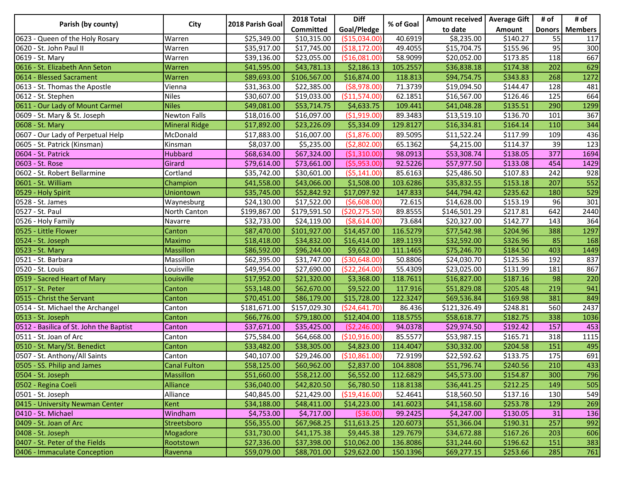| Parish (by county)                      | City                 | 2018 Parish Goal | 2018 Total       | <b>Diff</b>     | % of Goal | Amount received   Average Gift |          | # of | # of             |
|-----------------------------------------|----------------------|------------------|------------------|-----------------|-----------|--------------------------------|----------|------|------------------|
|                                         |                      |                  | <b>Committed</b> | Goal/Pledge     |           | to date                        | Amount   |      | Donors   Members |
| 0623 - Queen of the Holy Rosary         | Warren               | \$25,349.00      | \$10,315.00      | ( \$15,034.00)  | 40.6919   | \$8,235.00                     | \$140.27 | 55   | 117              |
| 0620 - St. John Paul II                 | Warren               | \$35,917.00      | \$17,745.00      | ( \$18, 172.00) | 49.4055   | \$15,704.75                    | \$155.96 | 95   | 300              |
| 0619 - St. Mary                         | Warren               | \$39,136.00      | \$23,055.00      | (\$16,081.00)   | 58.9099   | \$20,052.00                    | \$173.85 | 118  | 667              |
| 0616 - St. Elizabeth Ann Seton          | Warren               | \$41,595.00      | \$43,781.13      | \$2,186.13      | 105.2557  | \$36,838.18                    | \$174.38 | 202  | 629              |
| 0614 - Blessed Sacrament                | Warren               | \$89,693.00      | \$106,567.00     | \$16,874.00     | 118.813   | \$94,754.75                    | \$343.83 | 268  | 1272             |
| 0613 - St. Thomas the Apostle           | Vienna               | \$31,363.00      | \$22,385.00      | $($ \$8,978.00) | 71.3739   | \$19,094.50                    | \$144.47 | 128  | 481              |
| 0612 - St. Stephen                      | <b>Niles</b>         | \$30,607.00      | \$19,033.00      | ( \$11,574.00)  | 62.1851   | \$16,567.00                    | \$126.46 | 125  | 664              |
| 0611 - Our Lady of Mount Carmel         | <b>Niles</b>         | \$49,081.00      | \$53,714.75      | \$4,633.75      | 109.441   | \$41,048.28                    | \$135.51 | 290  | 1299             |
| 0609 - St. Mary & St. Joseph            | <b>Newton Falls</b>  | \$18,016.00      | \$16,097.00      | ( \$1,919.00)   | 89.3483   | \$13,519.10                    | \$136.70 | 101  | 367              |
| 0608 - St. Mary                         | <b>Mineral Ridge</b> | \$17,892.00      | \$23,226.09      | \$5,334.09      | 129.8127  | \$16,334.81                    | \$164.14 | 110  | 344              |
| 0607 - Our Lady of Perpetual Help       | McDonald             | \$17,883.00      | \$16,007.00      | (\$1,876.00)    | 89.5095   | \$11,522.24                    | \$117.99 | 109  | 436              |
| 0605 - St. Patrick (Kinsman)            | Kinsman              | \$8,037.00       | \$5,235.00       | (52,802.00)     | 65.1362   | \$4,215.00                     | \$114.37 | 39   | 123              |
| 0604 - St. Patrick                      | Hubbard              | \$68,634.00      | \$67,324.00      | ( \$1,310.00)   | 98.0913   | \$53,308.74                    | \$138.05 | 377  | 1694             |
| 0603 - St. Rose                         | Girard               | \$79,614.00      | \$73,661.00      | (55,953.00)     | 92.5226   | \$57,977.50                    | \$133.08 | 454  | 1429             |
| 0602 - St. Robert Bellarmine            | Cortland             | \$35,742.00      | \$30,601.00      | (55, 141.00)    | 85.6163   | \$25,486.50                    | \$107.83 | 242  | 928              |
| 0601 - St. William                      | Champion             | \$41,558.00      | \$43,066.00      | \$1,508.00      | 103.6286  | \$35,832.55                    | \$153.18 | 207  | 552              |
| 0529 - Holy Spirit                      | Uniontown            | \$35,745.00      | \$52,842.92      | \$17,097.92     | 147.833   | \$44,794.42                    | \$235.62 | 180  | 529              |
| 0528 - St. James                        | Waynesburg           | \$24,130.00      | \$17,522.00      | (56,608.00)     | 72.615    | \$14,628.00                    | \$153.19 | 96   | 301              |
| 0527 - St. Paul                         | North Canton         | \$199,867.00     | \$179,591.50     | ( \$20, 275.50) | 89.8555   | \$146,501.29                   | \$217.81 | 642  | 2440             |
| 0526 - Holy Family                      | Navarre              | \$32,733.00      | \$24,119.00      | ( \$8,614.00)   | 73.684    | \$20,327.00                    | \$142.77 | 143  | 364              |
| 0525 - Little Flower                    | Canton               | \$87,470.00      | \$101,927.00     | \$14,457.00     | 116.5279  | \$77,542.98                    | \$204.96 | 388  | 1297             |
| 0524 - St. Joseph                       | Maximo               | \$18,418.00      | \$34,832.00      | \$16,414.00     | 189.1193  | \$32,592.00                    | \$326.96 | 85   | 168              |
| 0523 - St. Mary                         | <b>Massillon</b>     | \$86,592.00      | \$96,244.00      | \$9,652.00      | 111.1465  | \$75,246.70                    | \$184.50 | 403  | 1449             |
| 0521 - St. Barbara                      | Massillon            | \$62,395.00      | \$31,747.00      | ( \$30, 648.00) | 50.8806   | \$24,030.70                    | \$125.36 | 192  | 837              |
| 0520 - St. Louis                        | Louisville           | \$49,954.00      | \$27,690.00      | (\$22, 264.00)  | 55.4309   | \$23,025.00                    | \$131.99 | 181  | 867              |
| 0519 - Sacred Heart of Mary             | Louisville           | \$17,952.00      | \$21,320.00      | \$3,368.00      | 118.7611  | \$16,827.00                    | \$187.16 | 98   | 220              |
| 0517 - St. Peter                        | Canton               | \$53,148.00      | \$62,670.00      | \$9,522.00      | 117.916   | \$51,829.08                    | \$205.48 | 219  | 941              |
| 0515 - Christ the Servant               | Canton               | \$70,451.00      | \$86,179.00      | \$15,728.00     | 122.3247  | \$69,536.84                    | \$169.98 | 381  | 849              |
| 0514 - St. Michael the Archangel        | Canton               | \$181,671.00     | \$157,029.30     | ( \$24,641.70)  | 86.436    | \$121,326.49                   | \$248.81 | 560  | 2437             |
| 0513 - St. Joseph                       | Canton               | \$66,776.00      | \$79,180.00      | \$12,404.00     | 118.5755  | \$58,618.77                    | \$182.75 | 338  | 1036             |
| 0512 - Basilica of St. John the Baptist | Canton               | \$37,671.00      | \$35,425.00      | ( \$2, 246.00)  | 94.0378   | \$29,974.50                    | \$192.42 | 157  | 453              |
| 0511 - St. Joan of Arc                  | Canton               | \$75,584.00      | \$64,668.00      | (\$10,916.00)   | 85.5577   | \$53,987.15                    | \$165.71 | 318  | 1115             |
| 0510 - St. Mary/St. Benedict            | Canton               | \$33,482.00      | \$38,305.00      | \$4,823.00      | 114.4047  | \$30,332.00                    | \$204.58 | 151  | 495              |
| 0507 - St. Anthony/All Saints           | Canton               | \$40,107.00      | \$29,246.00      | (\$10,861.00)   | 72.9199   | \$22,592.62                    | \$133.75 | 175  | 691              |
| 0505 - SS. Philip and James             | Canal Fulton         | \$58,125.00      | \$60,962.00      | \$2,837.00      | 104.8808  | \$51,796.74                    | \$240.56 | 210  | 433              |
| 0504 - St. Joseph                       | Massillon            | \$51,660.00      | \$58,212.00      | \$6,552.00      | 112.6829  | \$45,573.00                    | \$154.87 | 300  | 796              |
| 0502 - Regina Coeli                     | Alliance             | \$36,040.00      | \$42,820.50      | \$6,780.50      | 118.8138  | \$36,441.25                    | \$212.25 | 149  | 505              |
| 0501 - St. Joseph                       | Alliance             | \$40,845.00      | \$21,429.00      | ( \$19,416.00)  | 52.4641   | \$18,560.50                    | \$137.16 | 130  | 549              |
| 0415 - University Newman Center         | Kent                 | \$34,188.00      | \$48,411.00      | \$14,223.00     | 141.6023  | \$41,158.60                    | \$253.78 | 129  | 269              |
| 0410 - St. Michael                      | Windham              | \$4,753.00       | \$4,717.00       | ( \$36.00)      | 99.2425   | \$4,247.00                     | \$130.05 | 31   | 136              |
| 0409 - St. Joan of Arc                  | Streetsboro          | \$56,355.00      | \$67,968.25      | \$11,613.25     | 120.6073  | \$51,366.04                    | \$190.31 | 257  | 992              |
| 0408 - St. Joseph                       | Mogadore             | \$31,730.00      | \$41,175.38      | \$9,445.38      | 129.7679  | \$34,672.88                    | \$167.26 | 203  | 606              |
| 0407 - St. Peter of the Fields          | Rootstown            | \$27,336.00      | \$37,398.00      | \$10,062.00     | 136.8086  | \$31,244.60                    | \$196.62 | 151  | 383              |
| 0406 - Immaculate Conception            | Ravenna              | \$59,079.00      | \$88,701.00      | \$29,622.00     | 150.1396  | \$69,277.15                    | \$253.66 | 285  | 761              |